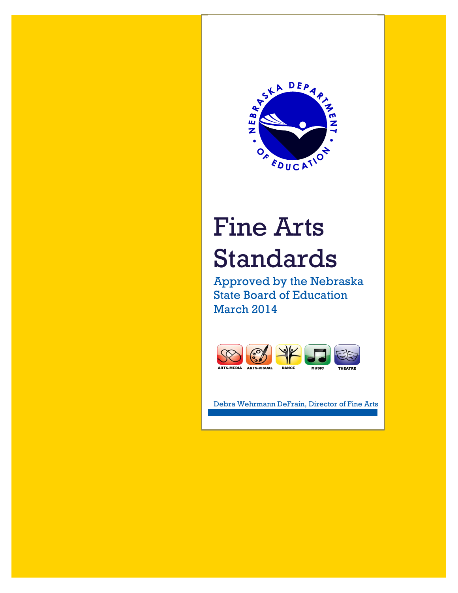

# Fine Arts Standards

Approved by the Nebraska State Board of Education March 2014



Debra Wehrmann DeFrain, Director of Fine Arts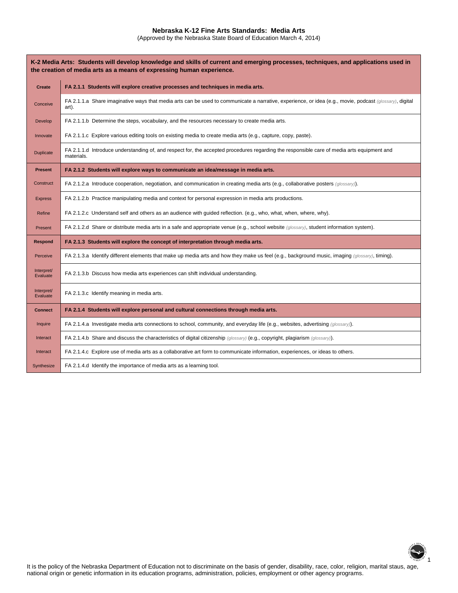#### **Nebraska K-12 Fine Arts Standards: Media Arts**

(Approved by the Nebraska State Board of Education March 4, 2014)

| K-2 Media Arts: Students will develop knowledge and skills of current and emerging processes, techniques, and applications used in<br>the creation of media arts as a means of expressing human experience. |                                                                                                                                                                  |  |
|-------------------------------------------------------------------------------------------------------------------------------------------------------------------------------------------------------------|------------------------------------------------------------------------------------------------------------------------------------------------------------------|--|
| <b>Create</b>                                                                                                                                                                                               | FA 2.1.1 Students will explore creative processes and techniques in media arts.                                                                                  |  |
| Conceive                                                                                                                                                                                                    | FA 2.1.1.a Share imaginative ways that media arts can be used to communicate a narrative, experience, or idea (e.g., movie, podcast (glossary), digital<br>art). |  |
| Develop                                                                                                                                                                                                     | FA 2.1.1.b Determine the steps, vocabulary, and the resources necessary to create media arts.                                                                    |  |
| Innovate                                                                                                                                                                                                    | FA 2.1.1.c Explore various editing tools on existing media to create media arts (e.g., capture, copy, paste).                                                    |  |
| <b>Duplicate</b>                                                                                                                                                                                            | FA 2.1.1.d Introduce understanding of, and respect for, the accepted procedures regarding the responsible care of media arts equipment and<br>materials.         |  |
| <b>Present</b>                                                                                                                                                                                              | FA 2.1.2 Students will explore ways to communicate an idea/message in media arts.                                                                                |  |
| Construct                                                                                                                                                                                                   | FA 2.1.2.a Introduce cooperation, negotiation, and communication in creating media arts (e.g., collaborative posters (glossary)).                                |  |
| <b>Express</b>                                                                                                                                                                                              | FA 2.1.2.b Practice manipulating media and context for personal expression in media arts productions.                                                            |  |
| Refine                                                                                                                                                                                                      | FA 2.1.2.c Understand self and others as an audience with guided reflection. (e.g., who, what, when, where, why).                                                |  |
| Present                                                                                                                                                                                                     | FA 2.1.2.d Share or distribute media arts in a safe and appropriate venue (e.g., school website (glossary), student information system).                         |  |
| Respond                                                                                                                                                                                                     | FA 2.1.3 Students will explore the concept of interpretation through media arts.                                                                                 |  |
| Perceive                                                                                                                                                                                                    | FA 2.1.3.a Identify different elements that make up media arts and how they make us feel (e.g., background music, imaging (glossary), timing).                   |  |
| Interpret/<br>Evaluate                                                                                                                                                                                      | FA 2.1.3.b Discuss how media arts experiences can shift individual understanding.                                                                                |  |
| Interpret/<br>Evaluate                                                                                                                                                                                      | FA 2.1.3.c Identify meaning in media arts.                                                                                                                       |  |
| Connect                                                                                                                                                                                                     | FA 2.1.4 Students will explore personal and cultural connections through media arts.                                                                             |  |
| Inquire                                                                                                                                                                                                     | FA 2.1.4.a Investigate media arts connections to school, community, and everyday life (e.g., websites, advertising (glossary)).                                  |  |
| Interact                                                                                                                                                                                                    | FA 2.1.4.b Share and discuss the characteristics of digital citizenship (glossary) (e.g., copyright, plagiarism (glossary)).                                     |  |
| Interact                                                                                                                                                                                                    | FA 2.1.4.c Explore use of media arts as a collaborative art form to communicate information, experiences, or ideas to others.                                    |  |
| Synthesize                                                                                                                                                                                                  | FA 2.1.4.d Identify the importance of media arts as a learning tool.                                                                                             |  |



It is the policy of the Nebraska Department of Education not to discriminate on the basis of gender, disability, race, color, religion, marital staus, age, national origin or genetic information in its education programs, administration, policies, employment or other agency programs.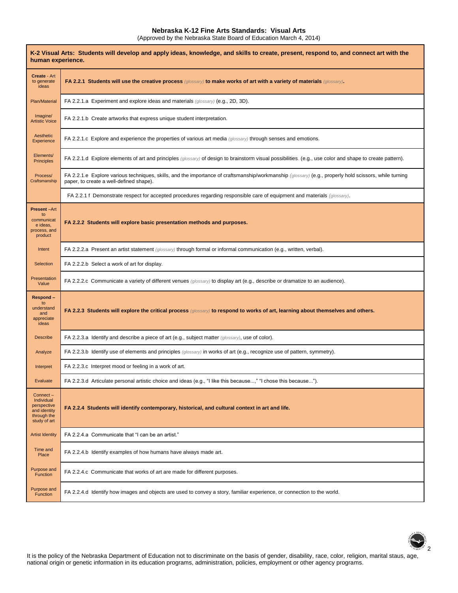## **Nebraska K-12 Fine Arts Standards: Visual Arts**

 $\mathsf{r}$ 

(Approved by the Nebraska State Board of Education March 4, 2014)

| K-2 Visual Arts: Students will develop and apply ideas, knowledge, and skills to create, present, respond to, and connect art with the<br>human experience. |                                                                                                                                                                                                   |  |
|-------------------------------------------------------------------------------------------------------------------------------------------------------------|---------------------------------------------------------------------------------------------------------------------------------------------------------------------------------------------------|--|
| Create - Art<br>to generate<br>ideas                                                                                                                        | FA 2.2.1 Students will use the creative process (glossary) to make works of art with a variety of materials (glossary).                                                                           |  |
| Plan/Material                                                                                                                                               | FA 2.2.1.a Experiment and explore ideas and materials (glossary) (e.g., 2D, 3D).                                                                                                                  |  |
| Imagine/<br><b>Artistic Voice</b>                                                                                                                           | FA 2.2.1.b Create artworks that express unique student interpretation.                                                                                                                            |  |
| Aesthetic<br>Experience                                                                                                                                     | FA 2.2.1.c Explore and experience the properties of various art media (glossary) through senses and emotions.                                                                                     |  |
| Elements/<br><b>Principles</b>                                                                                                                              | FA 2.2.1.d Explore elements of art and principles (glossary) of design to brainstorm visual possibilities. (e.g., use color and shape to create pattern).                                         |  |
| Process/<br>Craftsmanship                                                                                                                                   | FA 2.2.1.e Explore various techniques, skills, and the importance of craftsmanship/workmanship (glossary) (e.g., properly hold scissors, while turning<br>paper, to create a well-defined shape). |  |
|                                                                                                                                                             | FA 2.2.1 f Demonstrate respect for accepted procedures regarding responsible care of equipment and materials (glossary).                                                                          |  |
| <b>Present-Art</b><br>to<br>communicat<br>e ideas,<br>process, and<br>product                                                                               | FA 2.2.2 Students will explore basic presentation methods and purposes.                                                                                                                           |  |
| Intent                                                                                                                                                      | FA 2.2.2.a Present an artist statement (glossary) through formal or informal communication (e.g., written, verbal).                                                                               |  |
| Selection                                                                                                                                                   | FA 2.2.2.b Select a work of art for display.                                                                                                                                                      |  |
| Presentation<br>Value                                                                                                                                       | FA 2.2.2.c Communicate a variety of different venues (glossary) to display art (e.g., describe or dramatize to an audience).                                                                      |  |
| Respond-<br>to<br>understand<br>and<br>appreciate<br>ideas                                                                                                  | FA 2.2.3 Students will explore the critical process (glossary) to respond to works of art, learning about themselves and others.                                                                  |  |
| <b>Describe</b>                                                                                                                                             | FA 2.2.3.a Identify and describe a piece of art (e.g., subject matter (glossary), use of color).                                                                                                  |  |
| Analyze                                                                                                                                                     | FA 2.2.3.b Identify use of elements and principles (glossary) in works of art (e.g., recognize use of pattern, symmetry).                                                                         |  |
| Interpret                                                                                                                                                   | FA 2.2.3.c Interpret mood or feeling in a work of art.                                                                                                                                            |  |
| Evaluate                                                                                                                                                    | FA 2.2.3.d Articulate personal artistic choice and ideas (e.g., "I like this because," "I chose this because").                                                                                   |  |
| Connect-<br>Individual<br>perspective<br>and identity<br>through the<br>study of art                                                                        | FA 2.2.4 Students will identify contemporary, historical, and cultural context in art and life.                                                                                                   |  |
| <b>Artist Identity</b>                                                                                                                                      | FA 2.2.4.a Communicate that "I can be an artist."                                                                                                                                                 |  |
| Time and<br>Place                                                                                                                                           | FA 2.2.4.b Identify examples of how humans have always made art.                                                                                                                                  |  |
| Purpose and<br>Function                                                                                                                                     | FA 2.2.4.c Communicate that works of art are made for different purposes.                                                                                                                         |  |
| Purpose and<br>Function                                                                                                                                     | FA 2.2.4.d Identify how images and objects are used to convey a story, familiar experience, or connection to the world.                                                                           |  |



It is the policy of the Nebraska Department of Education not to discriminate on the basis of gender, disability, race, color, religion, marital staus, age, national origin or genetic information in its education programs, administration, policies, employment or other agency programs.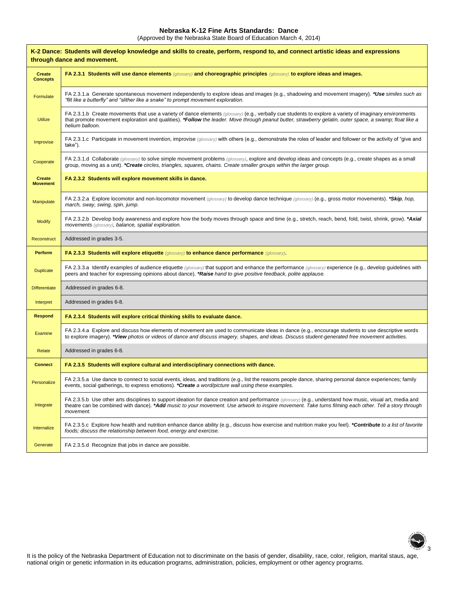### **Nebraska K-12 Fine Arts Standards: Dance**

(Approved by the Nebraska State Board of Education March 4, 2014)

| K-2 Dance: Students will develop knowledge and skills to create, perform, respond to, and connect artistic ideas and expressions<br>through dance and movement. |                                                                                                                                                                                                                                                                                                                                        |  |
|-----------------------------------------------------------------------------------------------------------------------------------------------------------------|----------------------------------------------------------------------------------------------------------------------------------------------------------------------------------------------------------------------------------------------------------------------------------------------------------------------------------------|--|
| <b>Create</b><br><b>Concepts</b>                                                                                                                                | FA 2.3.1 Students will use dance elements (glossary) and choreographic principles (glossary) to explore ideas and images.                                                                                                                                                                                                              |  |
| Formulate                                                                                                                                                       | FA 2.3.1.a Generate spontaneous movement independently to explore ideas and images (e.g., shadowing and movement imagery). *Use similes such as<br>"flit like a butterfly" and "slither like a snake" to prompt movement exploration.                                                                                                  |  |
| <b>Utilize</b>                                                                                                                                                  | FA 2.3.1.b Create movements that use a variety of dance elements (glossary) (e.g., verbally cue students to explore a variety of imaginary environments<br>that promote movement exploration and qualities). *Follow the leader. Move through peanut butter, strawberry gelatin, outer space, a swamp; float like a<br>helium balloon. |  |
| Improvise                                                                                                                                                       | FA 2.3.1.c Participate in movement invention, improvise (glossary) with others (e.g., demonstrate the roles of leader and follower or the activity of "give and<br>take").                                                                                                                                                             |  |
| Cooperate                                                                                                                                                       | FA 2.3.1.d Collaborate (glossary) to solve simple movement problems (glossary), explore and develop ideas and concepts (e.g., create shapes as a small<br>group, moving as a unit). *Create circles, triangles, squares, chains. Create smaller groups within the larger group.                                                        |  |
| <b>Create</b><br><b>Movement</b>                                                                                                                                | FA 2.3.2 Students will explore movement skills in dance.                                                                                                                                                                                                                                                                               |  |
| Manipulate                                                                                                                                                      | FA 2.3.2.a Explore locomotor and non-locomotor movement (glossary) to develop dance technique (glossary) (e.g., gross motor movements). *Skip, hop,<br>march, sway, swing, spin, jump.                                                                                                                                                 |  |
| <b>Modify</b>                                                                                                                                                   | FA 2.3.2.b Develop body awareness and explore how the body moves through space and time (e.g., stretch, reach, bend, fold, twist, shrink, grow). *Axial<br>movements (glossary), balance, spatial exploration.                                                                                                                         |  |
| Reconstruct                                                                                                                                                     | Addressed in grades 3-5.                                                                                                                                                                                                                                                                                                               |  |
| Perform                                                                                                                                                         | FA 2.3.3 Students will explore etiquette (glossary) to enhance dance performance (glossary).                                                                                                                                                                                                                                           |  |
| <b>Duplicate</b>                                                                                                                                                | FA 2.3.3.a Identify examples of audience etiquette (glossary) that support and enhance the performance (glossary) experience (e.g., develop quidelines with<br>peers and teacher for expressing opinions about dance). *Raise hand to give positive feedback, polite applause.                                                         |  |
| <b>Differentiate</b>                                                                                                                                            | Addressed in grades 6-8.                                                                                                                                                                                                                                                                                                               |  |
| Interpret                                                                                                                                                       | Addressed in grades 6-8.                                                                                                                                                                                                                                                                                                               |  |
| <b>Respond</b>                                                                                                                                                  | FA 2.3.4 Students will explore critical thinking skills to evaluate dance.                                                                                                                                                                                                                                                             |  |
| Examine                                                                                                                                                         | FA 2.3.4.a Explore and discuss how elements of movement are used to communicate ideas in dance (e.g., encourage students to use descriptive words<br>to explore imagery). *View photos or videos of dance and discuss imagery, shapes, and ideas. Discuss student-generated free movement activities.                                  |  |
| Relate                                                                                                                                                          | Addressed in grades 6-8.                                                                                                                                                                                                                                                                                                               |  |
| <b>Connect</b>                                                                                                                                                  | FA 2.3.5 Students will explore cultural and interdisciplinary connections with dance.                                                                                                                                                                                                                                                  |  |
| Personalize                                                                                                                                                     | FA 2.3.5.a Use dance to connect to social events, ideas, and traditions (e.g., list the reasons people dance, sharing personal dance experiences; family<br>events, social gatherings, to express emotions). <b>*Create</b> a word/picture wall using these examples.                                                                  |  |
| Integrate                                                                                                                                                       | FA 2.3.5.b Use other arts disciplines to support ideation for dance creation and performance (glossary) (e.g., understand how music, visual art, media and<br>theatre can be combined with dance). *Add music to your movement. Use artwork to inspire movement. Take turns filming each other. Tell a story through<br>movement.      |  |
| Internalize                                                                                                                                                     | FA 2.3.5.c Explore how health and nutrition enhance dance ability (e.g., discuss how exercise and nutrition make you feel). *Contribute to a list of favorite<br>foods; discuss the relationship between food, energy and exercise.                                                                                                    |  |
| Generate                                                                                                                                                        | FA 2.3.5.d Recognize that jobs in dance are possible.                                                                                                                                                                                                                                                                                  |  |



It is the policy of the Nebraska Department of Education not to discriminate on the basis of gender, disability, race, color, religion, marital staus, age, national origin or genetic information in its education programs, administration, policies, employment or other agency programs.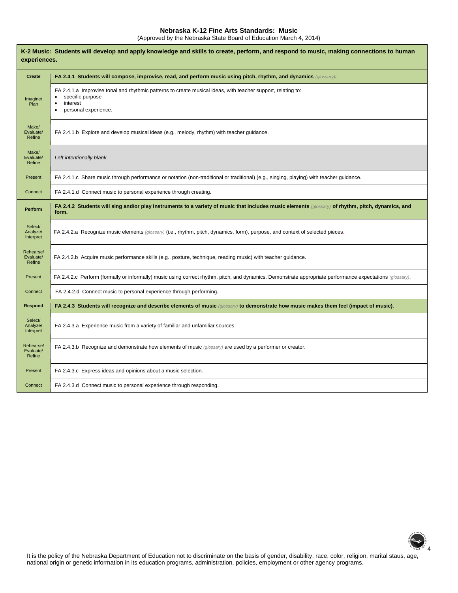## **Nebraska K-12 Fine Arts Standards: Music**

(Approved by the Nebraska State Board of Education March 4, 2014)

| K-2 Music: Students will develop and apply knowledge and skills to create, perform, and respond to music, making connections to human<br>experiences. |                                                                                                                                                                      |  |
|-------------------------------------------------------------------------------------------------------------------------------------------------------|----------------------------------------------------------------------------------------------------------------------------------------------------------------------|--|
| <b>Create</b>                                                                                                                                         | FA 2.4.1 Students will compose, improvise, read, and perform music using pitch, rhythm, and dynamics (glossary).                                                     |  |
| Imagine/<br>Plan                                                                                                                                      | FA 2.4.1.a Improvise tonal and rhythmic patterns to create musical ideas, with teacher support, relating to:<br>specific purpose<br>interest<br>personal experience. |  |
| Make/<br>Evaluate/<br>Refine                                                                                                                          | FA 2.4.1.b Explore and develop musical ideas (e.g., melody, rhythm) with teacher guidance.                                                                           |  |
| Make/<br>Evaluate/<br>Refine                                                                                                                          | Left intentionally blank                                                                                                                                             |  |
| Present                                                                                                                                               | FA 2.4.1.c Share music through performance or notation (non-traditional or traditional) (e.g., singing, playing) with teacher guidance.                              |  |
| Connect                                                                                                                                               | FA 2.4.1.d Connect music to personal experience through creating.                                                                                                    |  |
| Perform                                                                                                                                               | FA 2.4.2 Students will sing and/or play instruments to a variety of music that includes music elements (glossary) of rhythm, pitch, dynamics, and<br>form.           |  |
| Select/<br>Analyze/<br>Interpret                                                                                                                      | FA 2.4.2.a Recognize music elements (glossary) (i.e., rhythm, pitch, dynamics, form), purpose, and context of selected pieces.                                       |  |
| Rehearse/<br>Evaluate/<br>Refine                                                                                                                      | FA 2.4.2.b Acquire music performance skills (e.g., posture, technique, reading music) with teacher guidance.                                                         |  |
| Present                                                                                                                                               | FA 2.4.2.c Perform (formally or informally) music using correct rhythm, pitch, and dynamics. Demonstrate appropriate performance expectations (glossary).            |  |
| Connect                                                                                                                                               | FA 2.4.2.d Connect music to personal experience through performing.                                                                                                  |  |
| Respond                                                                                                                                               | FA 2.4.3 Students will recognize and describe elements of music (glossary) to demonstrate how music makes them feel (impact of music).                               |  |
| Select/<br>Analyze/<br>Interpret                                                                                                                      | FA 2.4.3.a Experience music from a variety of familiar and unfamiliar sources.                                                                                       |  |
| Rehearse/<br>Evaluate/<br>Refine                                                                                                                      | FA 2.4.3.b Recognize and demonstrate how elements of music (glossary) are used by a performer or creator.                                                            |  |
| Present                                                                                                                                               | FA 2.4.3.c Express ideas and opinions about a music selection.                                                                                                       |  |
| Connect                                                                                                                                               | FA 2.4.3.d Connect music to personal experience through responding.                                                                                                  |  |

2